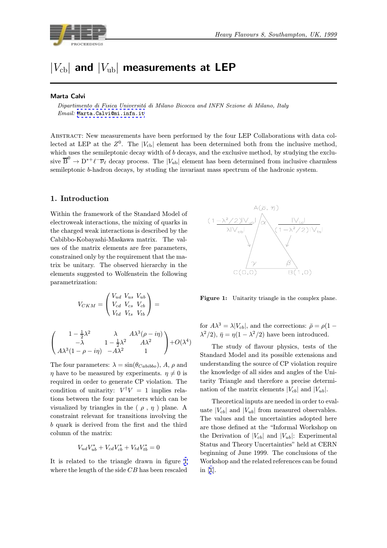

# $|V_{\text{cb}}|$  and  $|V_{\text{ub}}|$  measurements at LEP

#### Marta Calvi

Dipartimento di Fisica Universitá di Milano Bicocca and INFN Sezione di Milano, Italy Email: Marta.Calvi@mi.infn.it

Abstract: New measurements have been performed by the four LEP Collaborations with data col-lected at [LEP at the](mailto:Marta.Calvi@mi.infn.it)  $Z<sup>0</sup>$ . The  $|V_{cb}|$  element has been determined both from the inclusive method, which uses the semileptonic decay width of  $b$  decays, and the exclusive method, by studying the exclusive  $\overline{B}^0 \to D^{*+}\ell^-\overline{\nu}_{\ell}$  decay process. The  $|V_{ub}|$  element has been determined from inclusive charmless semileptonic b-hadron decays, by studing the invariant mass spectrum of the hadronic system.

#### 1. Introduction

Within the framework of the Standard Model of electroweak interactions, the mixing of quarks in the charged weak interactions is described by the Cabibbo-Kobayashi-Maskawa matrix. The values of the matrix elements are free parameters, constrained only by the requirement that the matrix be unitary. The observed hierarchy in the elements suggested to Wolfenstein the following parametrization:

$$
V_{CKM} = \begin{pmatrix} V_{ud} & V_{us} & V_{ub} \\ V_{cd} & V_{cs} & V_{cb} \\ V_{td} & V_{ts} & V_{tb} \end{pmatrix} =
$$

$$
\begin{pmatrix} 1-\frac{1}{2}\lambda^2 & \lambda & A\lambda^3(\rho-i\eta) \\ -\lambda & 1-\frac{1}{2}\lambda^2 & A\lambda^2 \\ A\lambda^3(1-\rho-i\eta) & -A\lambda^2 & 1 \end{pmatrix}+O(\lambda^4)
$$

The four parameters:  $\lambda = \sin(\theta_{Cabiibo})$ , A,  $\rho$  and  $\eta$  have to be measured by experiments.  $\eta \neq 0$  is required in order to generate CP violation. The condition of unitarity:  $V^{\dagger}V = 1$  implies relations between the four parameters which can be visualized by triangles in the ( $\rho$ ,  $\eta$ ) plane. A constraint relevant for transitions involving the b quark is derived from the first and the third column of the matrix:

$$
V_{ud}V_{ub}^* + V_{cd}V_{cb}^* + V_{td}V_{tb}^* = 0
$$

It is related to the triangle drawn in figure 1 where the length of the side  $CB$  has been rescaled



Figure 1: Unitarity triangle in the complex plane.

for  $A\lambda^3 = \lambda |V_{cb}|$ , and the corrections:  $\bar{\rho} = \rho(1 - \bar{\rho})$  $\lambda^2/2$ ,  $\bar{\eta} = \eta(1 - \lambda^2/2)$  have been introduced.

The study of flavour physics, tests of the Standard Model and its possible extensions and understanding the source of CP violation require the knowledge of all sides and angles of the Unitarity Triangle and therefore a precise determination of the matrix elements  $|V_{cb}|$  and  $|V_{ub}|$ .

Theoretical inputs are needed in order to evaluate  $|V_{cb}|$  and  $|V_{ub}|$  from measured observables. The values and the uncertainties adopted here are those defined at the "Informal Workshop on the Derivation of  $|V_{cb}|$  and  $|V_{ub}|$ : Experimental Status and Theory Uncertainties" held at CERN beginning of June 1999. The conclusions of the Workshop and the related references can be found in [1].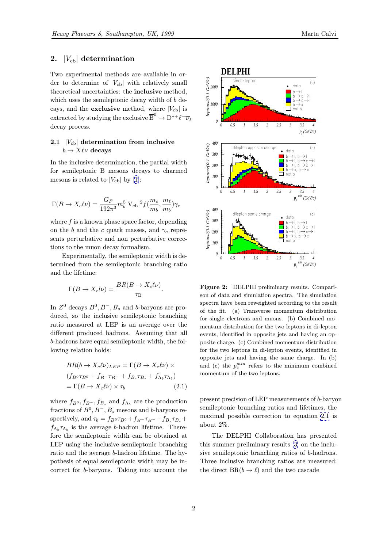## <span id="page-1-0"></span>2.  $|V_{cb}|$  determination

Two experimental methods are available in order to determine of  $|V_{cb}|$  with relatively small theoretical uncertainties: the inclusive method, which uses the semileptonic decay width of  $b$  decays, and the **exclusive** method, where  $|V_{cb}|$  is extracted by studying the exclusive  $\overline{B}^0 \to D^{*+} \ell^- \overline{\nu}_{\ell}$ decay process.

#### 2.1  $|V_{cb}|$  determination from inclusive  $b \to X \ell \nu$  decays

In the inclusive determination, the partial width for semileptonic B mesons decays to charmed mesons is related to  $|V_{cb}|$  by [1]:

$$
\Gamma(B\to X_c\ell\nu)=\frac{G_F}{192\pi^3}m_b^5|\mathrm{V}_{\mathrm{cb}}|^2f(\frac{m_c}{m_b},\frac{m_\ell}{m_b})\gamma_c
$$

where  $f$  is a known phase space factor, depending on the b and the c quark masses, and  $\gamma_c$  represents perturbative and non perturbative corrections to the muon decay formalism.

Experimentally, the semileptonic width is determined from the semileptonic branching ratio and the lifetime:

$$
\Gamma(B \to X_c l \nu) = \frac{BR(B \to X_c l \nu)}{\tau_B}
$$

.

In  $Z^0$  decays  $B^0, B^-, B_s$  and b-baryons are produced, so the inclusive semileptonic branching ratio measured at LEP is an average over the different produced hadrons. Assuming that all b-hadrons have equal semileptonic width, the following relation holds:

$$
BR(b \to X_c \ell \nu)_{LEP} = \Gamma(B \to X_c \ell \nu) \times
$$
  
( $f_{B^0} \tau_{B^0} + f_{B^-} \tau_{B^-} + f_{B_s} \tau_{B_s} + f_{\Lambda_b} \tau_{\Lambda_b})$   
=  $\Gamma(B \to X_c \ell \nu) \times \tau_b$  (2.1)

where  $f_{B^0}, f_{B^-}, f_{B_s}$  and  $f_{\Lambda_b}$  are the production fractions of  $B^0, B^-, B_s$  mesons and b-baryons respectively, and  $\tau_b = f_{B^0} \tau_{B^0} + f_{B^-} \tau_{B^-} + f_{B_s} \tau_{B_s} +$  $f_{\Lambda_b} \tau_{\Lambda_b}$  is the average b-hadron lifetime. Therefore the semileptonic width can be obtained at LEP using the inclusive semileptonic branching ratio and the average b-hadron lifetime. The hypothesis of equal semileptonic width may be incorrect for b-baryons. Taking into account the



Figure 2: DELPHI preliminary results. Comparison of data and simulation spectra. The simulation spectra have been reweighted according to the result of the fit. (a) Transverse momentum distribution for single electrons and muons. (b) Combined momentum distribution for the two leptons in di-lepton events, identified in opposite jets and having an opposite charge. (c) Combined momentum distribution for the two leptons in di-lepton events, identified in opposite jets and having the same charge. In (b) and (c) the  $p_c^{min}$  refers to the minimum combined momentum of the two leptons.

present precision of LEP measurements of b-baryon semileptonic branching ratios and lifetimes, the maximal possible correction to equation 2.1 is about 2%.

The DELPHI Collaboration has presented this summer preliminary results [3] on the inclusive semileptonic branching ratios of b-hadrons. Three inclusive branching ratios are measured: the direct  $BR(b \to \ell)$  $BR(b \to \ell)$  $BR(b \to \ell)$  and the two cascade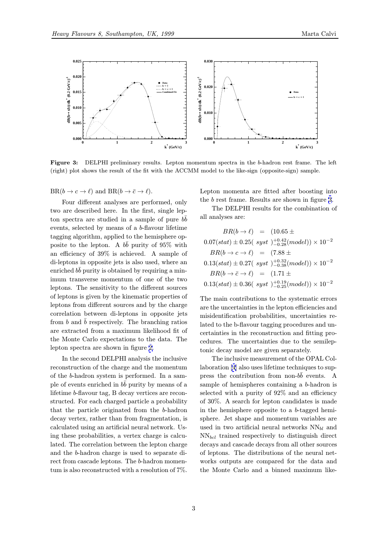

Figure 3: DELPHI preliminary results. Lepton momentum spectra in the <sup>b</sup>-hadron rest frame. The left (right) plot shows the result of the fit with the ACCMM model to the like-sign (opposite-sign) sample.

 $BR(b \to c \to \ell)$  and  $BR(b \to \bar{c} \to \ell)$ .

Four different analyses are performed, only two are described here. In the first, single lepton spectra are studied in a sample of pure  $bb$ events, selected by means of a b-flavour lifetime tagging algorithm, applied to the hemisphere opposite to the lepton. A  $b\bar{b}$  purity of 95% with an efficiency of 39% is achieved. A sample of di-leptons in opposite jets is also used, where an enriched  $b\bar{b}$  purity is obtained by requiring a minimum transverse momentum of one of the two leptons. The sensitivity to the different sources of leptons is given by the kinematic properties of leptons from different sources and by the charge correlation between di-leptons in opposite jets from  $b$  and  $b$  respectively. The branching ratios are extracted from a maximum likelihood fit of the Monte Carlo expectations to the data. The lepton spectra are shown in figure 2.

In the second DELPHI analysis the inclusive reconstruction of the charge and the momentum of the b-hadron system is performed. In a sample of events enriched in  $b\bar{b}$  purity [by](#page-1-0) means of a lifetime b-flavour tag, B decay vertices are reconstructed. For each charged particle a probability that the particle originated from the b-hadron decay vertex, rather than from fragmentation, is calculated using an artificial neural network. Using these probabilities, a vertex charge is calculated. The correlation between the lepton charge and the b-hadron charge is used to separate direct from cascade leptons. The b-hadron momentum is also reconstructed with a resolution of 7%.

Lepton momenta are fitted after boosting into the b rest frame. Results are shown in figure 3.

The DELPHI results for the combination of all analyses are:

$$
BR(b \to \ell) = (10.65 \pm 0.07(stat) \pm 0.25(\ syst) \, ^{+0.42}_{-0.28}(model)) \times 10^{-2}
$$
\n
$$
BR(b \to c \to \ell) = (7.88 \pm 0.13(stat) \pm 0.27(\ syst) \, ^{+0.32}_{-0.38}(model)) \times 10^{-2}
$$
\n
$$
BR(b \to \bar{c} \to \ell) = (1.71 \pm 0.13(stat) \pm 0.36(\ syst) \, ^{+0.19}_{-0.25}(model)) \times 10^{-2}
$$

The main contributions to the systematic errors are the uncertainties in the lepton efficiencies and misidentification probabilities, uncertainties related to the b-flavour tagging procedures and uncertainties in the reconstruction and fitting procedures. The uncertainties due to the semileptonic decay model are given separately.

The inclusive measurement of the OPAL Collaboration [4] also uses lifetime techniques to suppress the contribution from non- $b\bar{b}$  events. A sample of hemispheres containing a b-hadron is selected with a purity of 92% and an efficiency of 30%. A [se](#page-14-0)arch for lepton candidates is made in the hemisphere opposite to a b-tagged hemisphere. Jet shape and momentum variables are used in two artificial neural networks  $NN_{hl}$  and  $NN_{bcl}$  trained respectively to distinguish direct decays and cascade decays from all other sources of leptons. The distributions of the neural networks outputs are compared for the data and the Monte Carlo and a binned maximum like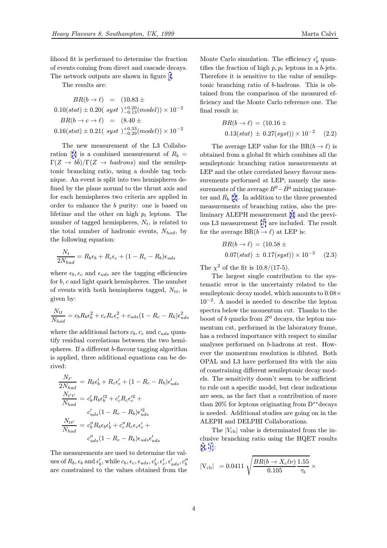lihood fit is performed to determine the fraction of events coming from direct and cascade decays. The network outputs are shown in figure 4.

The results are:

$$
BR(b \to \ell) = (10.83 \pm 0.10(stat) \pm 0.20(\ syst)_{-0.13}^{+0.20}(model)) \times 10^{-2}
$$
  

$$
BR(b \to c \to \ell) = (8.40 \pm 0.16(stat) \pm 0.21(\ syst)_{-0.29}^{+0.33}(model)) \times 10^{-2}
$$

The new measurement of the L3 Collaboration [5] is a combined measurement of  $R_b =$  $\Gamma(Z \to b\bar{b})/\Gamma(Z \to hadrons)$  and the semileptonic branching ratio, using a double tag technique. An event is split into two hemispheres defined b[y t](#page-14-0)he plane normal to the thrust axis and for each hemispheres two criteria are applied in order to enhance the b purity: one is based on lifetime and the other on high  $p_t$  leptons. The number of tagged hemispheres,  $N_t$ , is related to the total number of hadronic events,  $N_{had}$ , by the following equation:

$$
\frac{N_t}{2N_{had}} = R_b \epsilon_b + R_c \epsilon_c + (1 - R_c - R_b) \epsilon_{uds}
$$

where  $\epsilon_b, \epsilon_c$  and  $\epsilon_{uds}$  are the tagging efficiencies for b, c and light quark hemispheres. The number of events with both hemispheres tagged,  $N_{tt}$ , is given by:

$$
\frac{N_{tt}}{N_{had}} = c_b R_b \epsilon_b^2 + c_c R_c \epsilon_c^2 + c_{uds} (1 - R_c - R_b) \epsilon_{uds}^2
$$

where the additional factors  $c_b, c_c$  and  $c_{uds}$  quantify residual correlations between the two hemispheres. If a different b-flavour tagging algorithm is applied, three additional equations can be derived:

$$
\frac{N_{t'}}{2N_{had}} = R_b \epsilon_b' + R_c \epsilon_c' + (1 - R_c - R_b) \epsilon_{uds}'
$$

$$
\frac{N_{t't'}}{N_{had}} = c_b' R_b \epsilon_b'^2 + c_c' R_c \epsilon_c'^2 +
$$

$$
c_{uds}' (1 - R_c - R_b) \epsilon_{uds}'^2
$$

$$
\frac{N_{tt'}}{N_{had}} = c_b'' R_b \epsilon_b \epsilon_b' + c_c'' R_c \epsilon_c \epsilon_c' +
$$

$$
c_{uds}'' (1 - R_c - R_b) \epsilon_{uds} \epsilon_{uds}'
$$

The measurements are used to determine the values of  $R_b$ ,  $\epsilon_b$  and  $\epsilon'_b$ , while  $c_b$ ,  $\epsilon_c$ ,  $\epsilon_{uds}$ ,  $c'_b$ ,  $\epsilon'_c$ ,  $\epsilon'_{uds}$ ,  $c''_b$ are constrained to the values obtained from the

Monte Carlo simulation. The efficiency  $\epsilon_b'$  quantifies the fraction of high  $p, p_t$  leptons in a b-jets. Therefore it is sensitive to the value of semileptonic branching ratio of b-hadrons. This is obtained from the comparison of the measured efficiency and the Monte Carlo reference one. The final result is:

$$
BR(b \to \ell) = (10.16 \pm 0.13(stat) \pm 0.27(syst)) \times 10^{-2} \quad (2.2)
$$

The average LEP value for the BR( $b \to \ell$ ) is obtained from a global fit which combines all the semileptonic branching ratios measurements at LEP and the other correlated heavy flavour measurements performed at LEP; namely the measurements of the average  $B^0 - \overline{B}{}^0$  mixing parameter and  $R_b$  [2]. In addition to the three presented measurements of branching ratios, also the preliminary ALEPH measurement [6] and the previous L3 measurement [7] are included. The result for the ave[ra](#page-14-0)ge  $BR(b \to \ell)$  at LEP is:

$$
BR(b \to \ell) = (10.58 \pm 0.07(stat) \pm 0.17(syst)) \times 10^{-2} \quad (2.3)
$$

The  $\chi^2$  of the fit is  $10.8/(17-5)$ .

The largest single contribution to the systematic error is the uncertainty related to the semileptonic decay model, which amounts to 0.08× 10−<sup>2</sup>. A model is needed to describe the lepton spectra below the momentum cut. Thanks to the boost of b quarks from  $Z^0$  decays, the lepton momentum cut, performed in the laboratory frame, has a reduced importance with respect to similar analyses performed on b-hadrons at rest. However the momentum resolution is diluted. Both OPAL and L3 have performed fits with the aim of constraining different semileptonic decay models. The sensitivity doesn't seem to be sufficient to rule out a specific model, but clear indications are seen, as the fact that a contribution of more than 20% for leptons originating from D∗∗decays is needed. Additional studies are going on in the ALEPH and DELPHI Collaborations.

The  $|V_{cb}|$  value is determinated from the inclusive branching ratio using the HQET results [8, 1]:

$$
|V_{cb}| = 0.0411 \sqrt{\frac{BR(b \to X_c \ell \nu)}{0.105} \frac{1.55}{\tau_b}} \times
$$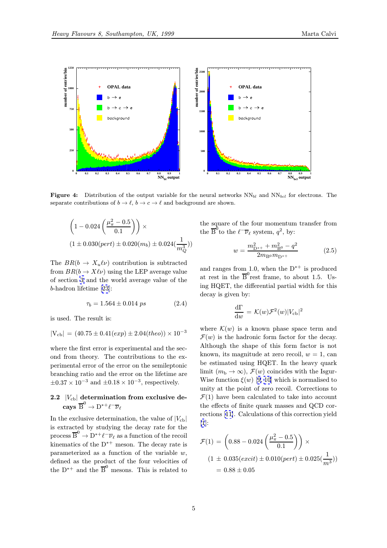<span id="page-4-0"></span>

**Figure 4:** Distribution of the output variable for the neural networks  $NN_{bl}$  and  $NN_{bol}$  for electrons. The separate contributions of  $b \to \ell$ ,  $b \to c \to \ell$  and background are shown.

$$
\left(1 - 0.024\left(\frac{\mu_{\pi}^2 - 0.5}{0.1}\right)\right) \times
$$
  

$$
(1 \pm 0.030(pert) \pm 0.020(m_b) \pm 0.024(\frac{1}{m_Q^3}))
$$

The  $BR(b \to X_u \ell \nu)$  contribution is subtracted from  $BR(b \to X\ell\nu)$  using the LEP average value of section 3 and the world average value of the b-hadron lifetime [23]:

$$
\tau_b = 1.564 \pm 0.014 \text{ ps} \tag{2.4}
$$

is used. T[he](#page-7-0) resul[t is](#page-14-0):

$$
|V_{cb}| = (40.75 \pm 0.41(exp) \pm 2.04(theo)) \times 10^{-3}
$$

where the first error is experimental and the second from theory. The contributions to the experimental error of the error on the semileptonic branching ratio and the error on the lifetime are  $\pm 0.37 \times 10^{-3}$  and  $\pm 0.18 \times 10^{-3}$ , respectively.

### 2.2  $|V_{cb}|$  determination from exclusive de- $\operatorname{cays} \overset{\circ}{\mathrm{B}}^0 \to \operatorname{D^{*+}}\ell^-\overline{\nu}_{\ell}$

In the exclusive determination, the value of  $|V_{cb}|$ is extracted by studying the decay rate for the process  $\overline{B}^0 \to D^{*+} \ell^- \overline{\nu}_{\ell}$  as a function of the recoil kinematics of the  $D^{*+}$  meson. The decay rate is parameterized as a function of the variable  $w$ , defined as the product of the four velocities of the  $D^{*+}$  and the  $\overline{B}^0$  mesons. This is related to the square of the four momentum transfer from the  $\overline{B}^0$  to the  $\ell^- \overline{\nu}_{\ell}$  system,  $q^2$ , by:

$$
w = \frac{m_{\rm D^{*+}}^2 + m_{\rm B^0}^2 - q^2}{2m_{\rm B^0}m_{\rm D^{*+}}} \tag{2.5}
$$

and ranges from 1.0, when the  $D^{*+}$  is produced at rest in the  $\overline{B}^0$  rest frame, to about 1.5. Using HQET, the differential partial width for this decay is given by:

$$
\frac{\mathrm{d}\Gamma}{\mathrm{d}w} \,=\, \mathcal{K}(w)\mathcal{F}^2(w)|V_{\mathrm{cb}}|^2
$$

where  $\mathcal{K}(w)$  is a known phase space term and  $\mathcal{F}(w)$  is the hadronic form factor for the decay. Although the shape of this form factor is not known, its magnitude at zero recoil,  $w = 1$ , can be estimated using HQET. In the heavy quark limit  $(m_b \to \infty)$ ,  $\mathcal{F}(w)$  coincides with the Isgur-Wise function  $\xi(w)$  [9, 10] which is normalised to unity at the point of zero recoil. Corrections to  $\mathcal{F}(1)$  have been calculated to take into account the effects of finite quark masses and QCD corrections [11]. Calcul[at](#page-14-0)i[on](#page-14-0)s of this correction yield [1]:

$$
\mathcal{F}(1) = \left(0.88 - 0.024\left(\frac{\mu_{\pi}^2 - 0.5}{0.1}\right)\right) \times
$$
  

$$
(1 \pm 0.035(excit) \pm 0.010(pert) \pm 0.025(\frac{1}{m^3}))
$$
  

$$
= 0.88 \pm 0.05
$$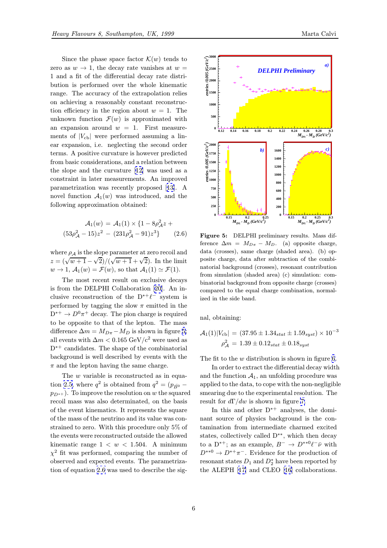Since the phase space factor  $\mathcal{K}(w)$  tends to zero as  $w \to 1$ , the decay rate vanishes at  $w =$ 1 and a fit of the differential decay rate distribution is performed over the whole kinematic range. The accuracy of the extrapolation relies on achieving a reasonably constant reconstruction efficiency in the region about  $w = 1$ . The unknown function  $\mathcal{F}(w)$  is approximated with an expansion around  $w = 1$ . First measurements of  $|V_{cb}|$  were performed assuming a linear expansion, i.e. neglecting the second order terms. A positive curvature is however predicted from basic considerations, and a relation between the slope and the curvature [12] was used as a constraint in later measurements. An improved parametrization was recently proposed [13]. A novel function  $\mathcal{A}_1(w)$  was introduced, and the following approximation obtai[ned](#page-14-0):

$$
\mathcal{A}_1(w) = \mathcal{A}_1(1) \times \{1 - 8\rho_A^2 z + (53\rho_A^2 - 15)z^2 - (231\rho_A^2 - 91)z^3\}
$$
 (2.6)

where  $\rho_A$  is the slope parameter at zero recoil and where  $p_A$  is the slope parameter at zero recon and  $z = (\sqrt{w+1} - \sqrt{2})/(\sqrt{w+1} + \sqrt{2})$ . In the limit  $w \rightarrow 1$ ,  $\mathcal{A}_1(w) = \mathcal{F}(w)$ , so that  $\mathcal{A}_1(1) \simeq \mathcal{F}(1)$ .

The most recent result on exclusive decays is from the DELPHI Collaboration [20]. An inclusive reconstruction of the  $D^{*+}\ell^-$  system is performed by tagging the slow  $\pi$  emitted in the  $D^{*+} \to D^0 \pi^+$  decay. The pion charge is required to be opposite to that of the lepton[. T](#page-14-0)he mass difference  $\Delta m = M_{D\pi} - M_D$  is shown in figure 5; all events with  $\Delta m < 0.165 \text{ GeV}/c^2$  were used as D<sup>∗+</sup> candidates. The shape of the combinatorial background is well described by events with the  $\pi$  and the lepton having the same charge.

The w variable is reconstructed as in equation 2.5, where  $q^2$  is obtained from  $q^2 = (p_{\bar{B}0}$  $p_{D^*+}$ ). To improve the resolution on w the squared recoil mass was also determinated, on the basis of the event kinematics. It represents the square of th[e m](#page-4-0)ass of the neutrino and its value was constrained to zero. With this procedure only 5% of the events were reconstructed outside the allowed kinematic range  $1 < w < 1.504$ . A minimum  $\chi^2$  fit was performed, comparing the number of observed and expected events. The parametrization of equation 2.6 was used to describe the sig-



Figure 5: DELPHI preliminary results. Mass difference  $\Delta m = M_{D\pi} - M_D$ . (a) opposite charge, data (crosses), same charge (shaded area). (b) opposite charge, data after subtraction of the combinatorial background (crosses), resonant contribution from simulation (shaded area) (c) simulation: combinatorial background from opposite charge (crosses) compared to the equal charge combination, normalized in the side band.

nal, obtaining:

$$
\mathcal{A}_1(1)|V_{\text{cb}}| = (37.95 \pm 1.34_{stat} \pm 1.59_{syst}) \times 10^{-3}
$$

$$
\rho_{\mathcal{A}}^2 = 1.39 \pm 0.12_{stat} \pm 0.18_{syst}
$$

The fit to the  $w$  distribution is shown in figure 6.

In order to extract the differential decay width and the function  $A_1$ , an unfolding procedure was applied to the data, to cope with the non-negligible smearing due to the experimental resolution. T[he](#page-6-0) result for  $d\Gamma/dw$  is shown in figure 7.

In this and other  $D^{*+}$  analyses, the dominant source of physics background is the contamination from intermediate charmed excited states, collectively called D∗∗, whic[h](#page-6-0) then decay to a D<sup>\*+</sup>; as an example,  $B^- \to D^{**0}\ell^-\bar{\nu}$  with  $D^{**0} \to D^{*+}\pi^-$ . Evidence for the production of resonant states  $D_1$  and  $D_2^*$  have been reported by the ALEPH [17] and CLEO [16] collaborations.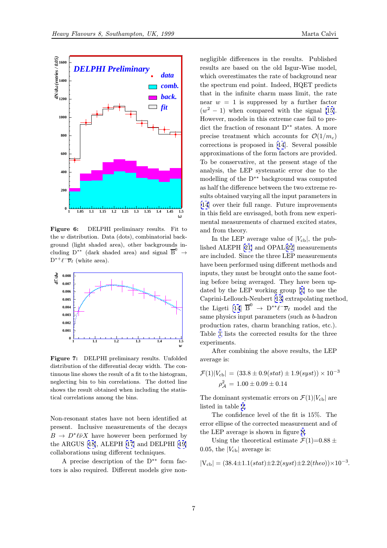

<span id="page-6-0"></span>

Figure 6: DELPHI preliminary results. Fit to the w distribution. Data (dots), combinatorial background (light shaded area), other backgrounds including D<sup>\*\*</sup> (dark shaded area) and signal  $\overline{B}^0$   $\rightarrow$  $D^{*+}\ell^-\overline{\nu}_\ell$  (white area).



Figure 7: DELPHI preliminary results. Unfolded distribution of the differential decay width. The continuous line shows the result of a fit to the histogram, neglecting bin to bin correlations. The dotted line shows the result obtained when including the statistical correlations among the bins.

Non-resonant states have not been identified at present. Inclusive measurements of the decays  $B \to D^*\ell\nu X$  have however been performed by the ARGUS [18], ALEPH [17] and DELPHI [19] collaborations using different techniques.

A precise description of the D∗∗ form factors is also r[equ](#page-14-0)ired. Diffe[ren](#page-14-0)t models give n[on-](#page-14-0)

negligible differences in the results. Published results are based on the old Isgur-Wise model, which overestimates the rate of background near the spectrum end point. Indeed, HQET predicts that in the infinite charm mass limit, the rate near  $w = 1$  is suppressed by a further factor  $(w^2 - 1)$  when compared with the signal [15]. However, models in this extreme case fail to predict the fraction of resonant D∗∗ states. A more precise treatment which accounts for  $\mathcal{O}(1/m_c)$ corrections is proposed in [14]. Several pos[sibl](#page-14-0)e approximations of the form factors are provided. To be conservative, at the present stage of the analysis, the LEP systematic error due to the modelling of the D∗∗ back[grou](#page-14-0)nd was computed as half the difference between the two extreme results obtained varying all the input parameters in [14] over their full range. Future improvements in this field are envisaged, both from new experimental measurements of charmed excited states, [and](#page-14-0) from theory.

In the LEP average value of  $|V_{cb}|$ , the published ALEPH [21] and OPAL[22] measurements are included. Since the three LEP measurements have been performed using different methods and inputs, they must be brought onto the same footing before bein[g a](#page-14-0)veraged. T[hey](#page-14-0) have been updated by the LEP working group [1] to use the Caprini-Lellouch-Neubert [13] extrapolating method, the Ligeti [14]  $\overline{B}^0 \rightarrow D^{**}\ell^-\overline{\nu}_\ell$  model and the same physics input parameters (such as b-hadron production rates, charm branching [r](#page-13-0)atios, etc.). Table 1 lists the correcte[d](#page-14-0) [re](#page-14-0)sults for the three experiment[s.](#page-14-0)

After combining the above results, the LEP averag[e](#page-7-0) is:

$$
\mathcal{F}(1)|V_{cb}| = (33.8 \pm 0.9(stat) \pm 1.9(syst)) \times 10^{-3}
$$

$$
\rho_{\mathcal{A}}^2 = 1.00 \pm 0.09 \pm 0.14
$$

The dominant systematic errors on  $\mathcal{F}(1)|V_{cb}|$  are listed in table 2.

The confidence level of the fit is 15%. The error ellipse of the corrected measurement and of the LEP average is shown in figure 8.

Using [th](#page-7-0)e theoretical estimate  $\mathcal{F}(1)=0.88 \pm 1$ 0.05, the  $|V_{cb}|$  average is:

$$
|V_{cb}| = (38.4 \pm 1.1(stat) \pm 2.2(syst) \pm 2.2(theo)) \times 10^{-3}
$$

.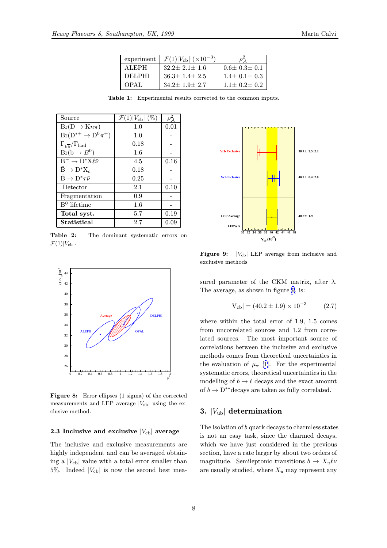| experiment   | $\mathcal{F}(1) V_{\text{cb}}  \; (\times 10^{-3})$ |                       |
|--------------|-----------------------------------------------------|-----------------------|
| <b>ALEPH</b> | $32.2 \pm 2.1 \pm 1.6$                              | $0.6 \pm 0.3 \pm 0.1$ |
| DEL PHI      | $36.3 \pm 1.4 \pm 2.5$                              | $1.4 \pm 0.1 \pm 0.3$ |
| OPAL         | $34.2 \pm 1.9 \pm 2.7$                              | $1.1 \pm 0.2 \pm 0.2$ |

Table 1: Experimental results corrected to the common inputs.

<span id="page-7-0"></span>

| Source                                             | $\mathcal{F}(1) V_{\text{cb}} $ (%) | $\rho_{\mathcal{A}}^2$ |
|----------------------------------------------------|-------------------------------------|------------------------|
| $Br(D \to K n \pi)$                                | 1.0                                 | 0.01                   |
| $Br(D^{*+} \rightarrow D^0 \pi^+)$                 | 1.0                                 |                        |
| $\Gamma_{\rm b\overline{b}}/\Gamma_{\rm had}$      | 0.18                                |                        |
| $Br(b \rightarrow B^0)$                            | 1.6                                 |                        |
| $B^- \rightarrow D^* X \ell \bar{\nu}$             | 4.5                                 | 0.16                   |
| $\bar{\text{B}} \to \text{D}^* \text{X}_c$         | 0.18                                |                        |
| $\bar{\mathrm{B}} \to \mathrm{D}^* \tau \bar{\nu}$ | 0.25                                |                        |
| Detector                                           | 2.1                                 | 0.10                   |
| Fragmentation                                      | 0.9                                 |                        |
| $B^0$ lifetime                                     | 1.6                                 |                        |
| Total syst.                                        | 5.7                                 | 0.19                   |
| Statistical                                        | 2.7                                 | 0.09                   |

Table 2: The dominant systematic errors on  $\mathcal{F}(1)|V_{\text{cb}}|.$ 



Figure 8: Error ellipses (1 sigma) of the corrected measurements and LEP average  $|V_{cb}|$  using the exclusive method.

#### 2.3 Inclusive and exclusive  $|V_{cb}|$  average

The inclusive and exclusive measurements are highly independent and can be averaged obtaining a  $|V_{cb}|$  value with a total error smaller than 5%. Indeed  $|V_{cb}|$  is now the second best mea-



**Figure 9:**  $|V_{cb}|$  LEP average from inclusive and exclusive methods

sured parameter of the CKM matrix, after  $\lambda$ . The average, as shown in figure 9, is:

$$
|V_{cb}| = (40.2 \pm 1.9) \times 10^{-3} \tag{2.7}
$$

where within the total error of 1.9, 1.5 comes from uncorrelated sources and 1.2 from correlated sources. The most important source of correlations between the inclusive and exclusive methods comes from theoretical uncertainties in the evaluation of  $\mu_{\pi}$  [1]. For the experimental systematic errors, theoretical uncertainties in the modelling of  $b \to \ell$  decays and the exact amount of  $b \to D^{**}$ decays are [ta](#page-13-0)ken as fully correlated.

#### 3.  $|V_{ub}|$  determination

The isolation of b quark decays to charmless states is not an easy task, since the charmed decays, which we have just considered in the previous section, have a rate larger by about two orders of magnitude. Semileptonic transitions  $b \to X_u \ell \nu$ are usually studied, where  $X_u$  may represent any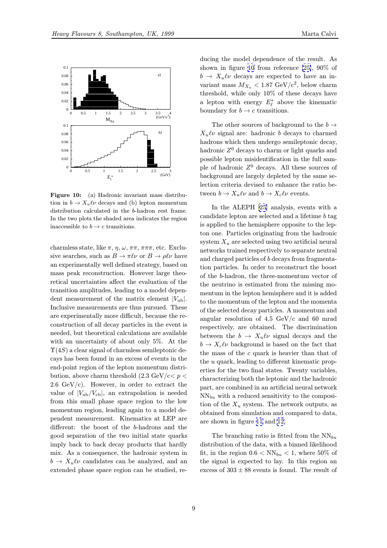

Figure 10: (a) Hadronic invariant mass distribution in  $b \to X_u \ell \nu$  decays and (b) lepton momentum distribution calculated in the b-hadron rest frame. In the two plots the shaded area indicates the region inaccessible to  $b \to c$  transitions.

charmless state, like  $\pi$ ,  $\eta$ ,  $\omega$ ,  $\pi\pi$ ,  $\pi\pi\pi$ , etc. Exclusive searches, such as  $B \to \pi \ell \nu$  or  $B \to \rho \ell \nu$  have an experimentally well defined strategy, based on mass peak reconstruction. However large theoretical uncertainties affect the evaluation of the transition amplitudes, leading to a model dependent measurement of the matrix element  $|V_{ub}|$ . Inclusive measurements are thus pursued. These are experimentally more difficult, because the reconstruction of all decay particles in the event is needed, but theoretical calculations are available with an uncertainty of about only 5%. At the  $\Upsilon(4S)$  a clear signal of charmless semileptonic decays has been found in an excess of events in the end-point region of the lepton momentum distribution, above charm threshold  $(2.3 \text{ GeV/c} < p <$ 2.6  $GeV/c$ ). However, in order to extract the value of  $|V_{\text{ub}}/V_{\text{cb}}|$ , an extrapolation is needed from this small phase space region to the low momentum region, leading again to a model dependent measurement. Kinematics at LEP are different: the boost of the b-hadrons and the good separation of the two initial state quarks imply back to back decay products that hardly mix. As a consequence, the hadronic system in  $b \to X_u \ell \nu$  candidates can be analyzed, and an extended phase space region can be studied, re-

ducing the model dependence of the result. As shown in figure 10 from reference [25], 90% of  $b \to X_u \ell \nu$  decays are expected to have an invariant mass  $M_{X_u} < 1.87$  GeV/c<sup>2</sup>, below charm threshold, while only 10% of these decays have a lepton with energy  $E_{\ell}^*$  above th[e k](#page-14-0)inematic boundary for  $b \to c$  transitions.

The other sources of background to the  $b \rightarrow$  $X_u \ell \nu$  signal are: hadronic b decays to charmed hadrons which then undergo semileptonic decay, hadronic  $Z^0$  decays to charm or light quarks and possible lepton misidentification in the full sample of hadronic  $Z^0$  decays. All these sources of background are largely depleted by the same selection criteria devised to enhance the ratio between  $b \to X_u \ell \nu$  and  $b \to X_c \ell \nu$  events.

In the ALEPH [25] analysis, events with a candidate lepton are selected and a lifetime b tag is applied to the hemisphere opposite to the lepton one. Particles originating from the hadronic system  $X_u$  are select[ed u](#page-14-0)sing two artificial neural networks trained respectively to separate neutral and charged particles of b decays from fragmentation particles. In order to reconstruct the boost of the b-hadron, the three-momentum vector of the neutrino is estimated from the missing momentum in the lepton hemisphere and it is added to the momentum of the lepton and the momenta of the selected decay particles. A momentum and angular resolution of 4.5  $GeV/c$  and 60 mrad respectively, are obtained. The discrimination between the  $b \to X_u \ell \nu$  signal decays and the  $b \to X_c \ell \nu$  background is based on the fact that the mass of the c quark is heavier than that of the u quark, leading to different kinematic properties for the two final states. Twenty variables, characterizing both the leptonic and the hadronic part, are combined in an artificial neural network  $NN_{bu}$  with a reduced sensitivity to the composition of the  $X_u$  system. The network outputs, as obtained from simulation and compared to data, are shown in figure 11 and 12.

The branching ratio is fitted from the  $NN_{bu}$ distribution of the data, with a binned likelihood fit, in the region  $0.6 < NN_{bu} < 1$  $0.6 < NN_{bu} < 1$  $0.6 < NN_{bu} < 1$  $0.6 < NN_{bu} < 1$  $0.6 < NN_{bu} < 1$ , where 50% of the signal is expected to lay. In this region an excess of  $303 \pm 88$  events is found. The result of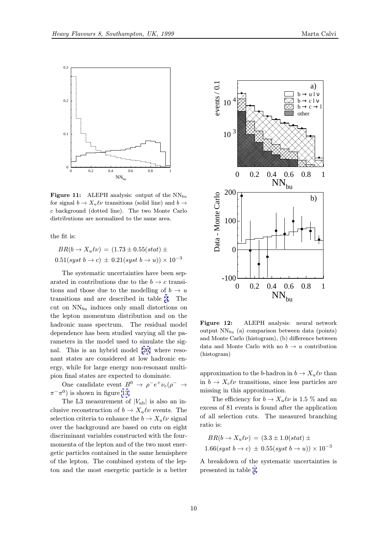

<span id="page-9-0"></span>

**Figure 11:** ALEPH analysis: output of the  $NN_{bu}$ for signal  $b \to X_u \ell \nu$  transitions (solid line) and  $b \to$ c background (dotted line). The two Monte Carlo distributions are normalized to the same area.

the fit is:

$$
BR(b \rightarrow X_u \ell \nu) = (1.73 \pm 0.55(stat) \pm
$$
  
0.51(syst b \rightarrow c) \pm 0.21(syst b \rightarrow u)) \times 10<sup>-3</sup>

The systematic uncertainties have been separated in contributions due to the  $b \to c$  transitions and those due to the modelling of  $b \to u$ transitions and are described in table 3. The cut on  $NN_{bu}$  induces only small distortions on the lepton momentum distribution and on the hadronic mass spectrum. The residual model dependence has been studied varying al[l t](#page-10-0)he parameters in the model used to simulate the signal. This is an hybrid model [26] where resonant states are considered at low hadronic energy, while for large energy non-resonant multipion final states are expected to dominate.

One candidate event  $B^0 \to \rho^- e^+ \nu_e (\rho^- \to$  $\pi^{-}\pi^{0}$ ) is shown in figure 13.

The L3 measurement of  $|V_{ub}|$  is also an inclusive reconstruction of  $b \to X_u \ell \nu$  events. The selection criteria to enhance the  $b \to X_u \ell \nu$  signal over the background are [ba](#page-10-0)sed on cuts on eight discriminant variables constructed with the fourmomenta of the lepton and of the two most energetic particles contained in the same hemisphere of the lepton. The combined system of the lepton and the most energetic particle is a better



Figure 12: ALEPH analysis: neural network output  $NN_{bu}$  (a) comparison between data (points) and Monte Carlo (histogram), (b) difference between data and Monte Carlo with no  $b \to u$  contribution (histogram)

approximation to the b-hadron in  $b \to X_u \ell \nu$  than in  $b \to X_c\ell\nu$  transitions, since less particles are missing in this approximation.

The efficiency for  $b \to X_u \ell \nu$  is 1.5 % and an excess of 81 events is found after the application of all selection cuts. The measured branching ratio is:

$$
BR(b \to X_u \ell \nu) = (3.3 \pm 1.0(stat) \pm
$$
  
1.66(syst b \to c) \pm 0.55(syst b \to u)) \times 10<sup>-3</sup>

A breakdown of the systematic uncertainties is presented in table 4.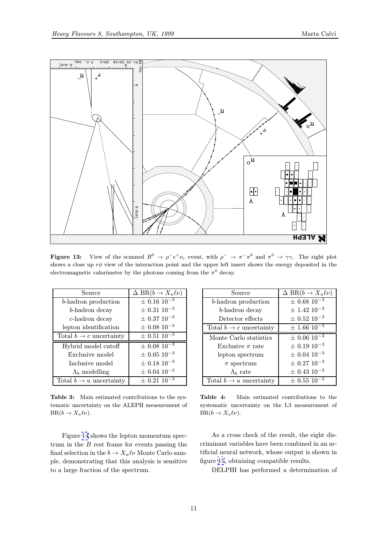<span id="page-10-0"></span>

**Figure 13:** View of the scanned  $B^0 \to \rho^-e^+\nu_e$  event, with  $\rho^- \to \pi^-\pi^0$  and  $\pi^0 \to \gamma\gamma$ . The right plot shows a close up  $r\phi$  view of the interaction point and the upper left insert shows the energy deposited in the electromagnetic calorimeter by the photons coming from the  $\pi^0$  decay.

| Source                              | $\Delta BR(b \to X_u \ell \nu)$ |
|-------------------------------------|---------------------------------|
| b-hadron production                 | $\pm$ 0.16 10 <sup>-3</sup>     |
| b-hadron decay                      | $\pm$ 0.31 10 <sup>-3</sup>     |
| $c$ -hadron decay                   | $\pm$ 0.37 10 <sup>-3</sup>     |
| lepton identification               | $\pm$ 0.08 10 <sup>-3</sup>     |
| Total $b \to c$ uncertainty         | $\pm$ 0.51 10 <sup>-3</sup>     |
| Hybrid model cutoff                 | $\pm$ 0.08 $\overline{10^{-3}}$ |
| Exclusive model                     | $\pm$ 0.05 10 <sup>-3</sup>     |
| Inclusive model                     | $\pm$ 0.18 10 <sup>-3</sup>     |
| $\Lambda_b$ modelling               | $\pm$ 0.04 10 <sup>-3</sup>     |
| Total $b \rightarrow u$ uncertainty | $\pm$ 0.21 10 <sup>-3</sup>     |

Table 3: Main estimated contributions to the systematic uncertainty on the ALEPH measurement of  $BR(b \to X_u \ell \nu)$ .

Figure 14 shows the lepton momentum spectrum in the  $B$  rest frame for events passing the final selection in the  $b \to X_u \ell \nu$  Monte Carlo sample, demonstrating that this analysis is sensitive to a large f[rac](#page-11-0)tion of the spectrum.

| Source                      | $\Delta BR(b \to X_u \ell \nu)$ |
|-----------------------------|---------------------------------|
| b-hadron production         | $\pm$ 0.68 10 <sup>-3</sup>     |
| b-hadron decay              | $\pm$ 1.42 $10^{-3}$            |
| Detector effects            | $\pm$ 0.52 10 <sup>-3</sup>     |
| Total $b \to c$ uncertainty | $\pm$ 1.66 10 <sup>-3</sup>     |
| Monte Carlo statistics      | $\pm$ 0.06 $10^{-3}$            |
| Exclusive $\pi$ rate        | $\pm$ 0.19 10 <sup>-3</sup>     |
| lepton spectrum             | $\pm$ 0.04 10 <sup>-3</sup>     |
| $\pi$ spectrum              | $\pm$ 0.27 10 <sup>-3</sup>     |
| $\Lambda_b$ rate            | $\pm$ 0.43 10 <sup>-3</sup>     |
| Total $b \to u$ uncertainty | $\pm$ 0.55 10 <sup>-3</sup>     |

Table 4: Main estimated contributions to the systematic uncertainty on the L3 measurement of  $BR(b \to X_u \ell \nu)$ .

As a cross check of the result, the eight discriminant variables have been combined in an artificial neural network, whose output is shown in figure 15, obtaining compatible results.

DELPHI has performed a determination of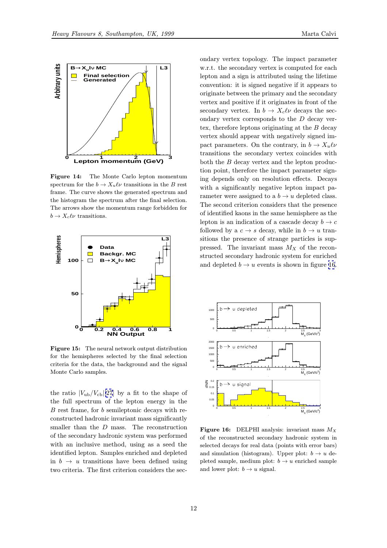<span id="page-11-0"></span>

Figure 14: The Monte Carlo lepton momentum spectrum for the  $b \to X_u \ell \nu$  transitions in the B rest frame. The curve shows the generated spectrum and the histogram the spectrum after the final selection. The arrows show the momentum range forbidden for  $b \to X_c \ell \nu$  transitions.



Figure 15: The neural network output distribution for the hemispheres selected by the final selection criteria for the data, the background and the signal Monte Carlo samples.

the ratio  $|V_{ub}/V_{cb}|[27]$  by a fit to the shape of the full spectrum of the lepton energy in the B rest frame, for b semileptonic decays with reconstructed hadronic invariant mass significantly smaller than the  $D$  mass. The reconstruction of the secondary hadronic system was performed with an inclusive method, using as a seed the identified lepton. Samples enriched and depleted in  $b \rightarrow u$  transitions have been defined using two criteria. The first criterion considers the sec-

ondary vertex topology. The impact parameter w.r.t. the secondary vertex is computed for each lepton and a sign is attributed using the lifetime convention: it is signed negative if it appears to originate between the primary and the secondary vertex and positive if it originates in front of the secondary vertex. In  $b \to X_c \ell \nu$  decays the secondary vertex corresponds to the D decay vertex, therefore leptons originating at the  $B$  decay vertex should appear with negatively signed impact parameters. On the contrary, in  $b \to X_u \ell \nu$ transitions the secondary vertex coincides with both the  $B$  decay vertex and the lepton production point, therefore the impact parameter signing depends only on resolution effects. Decays with a significantly negative lepton impact parameter were assigned to a  $b \to u$  depleted class. The second criterion considers that the presence of identified kaons in the same hemisphere as the lepton is an indication of a cascade decay  $b \to c$ followed by a  $c \to s$  decay, while in  $b \to u$  transitions the presence of strange particles is suppressed. The invariant mass  $M_X$  of the reconstructed secondary hadronic system for enriched and depleted  $b \rightarrow u$  events is shown in figure 16.



Figure 16: DELPHI analysis: invariant mass  $M_X$ of the reconstructed secondary hadronic system in selected decays for real data (points with error bars) and simulation (histogram). Upper plot:  $b \rightarrow u$  depleted sample, medium plot:  $b \rightarrow u$  enriched sample and lower plot:  $b \rightarrow u$  signal.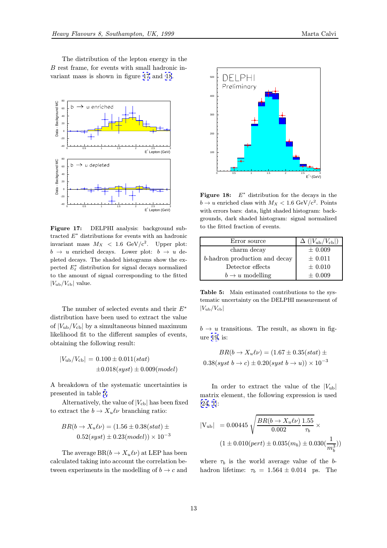The distribution of the lepton energy in the B rest frame, for events with small hadronic invariant mass is shown in figure 17 and 18.



Figure 17: DELPHI analysis: background subtracted  $E^*$  distributions for events with an hadronic invariant mass  $M_X < 1.6$  GeV/ $c^2$ . Upper plot:  $b \rightarrow u$  enriched decays. Lower plot:  $b \rightarrow u$  depleted decays. The shaded histograms show the expected  $E_{\ell}^*$  distribution for signal decays normalized to the amount of signal corresponding to the fitted  $|V_{\text{ub}}/V_{\text{cb}}|$  value.

The number of selected events and their E<sup>∗</sup> distribution have been used to extract the value of  $|V_{ub}/V_{cb}|$  by a simultaneous binned maximum likelihood fit to the different samples of events, obtaining the following result:

$$
|V_{ub}/V_{cb}| = 0.100 \pm 0.011(stat)
$$
  

$$
\pm 0.018(syst) \pm 0.009(model)
$$

A breakdown of the systematic uncertainties is presented in table 5.

Alternatively, the value of  $|V_{cb}|$  has been fixed to extract the  $b \to X_u \ell \nu$  branching ratio:

$$
BR(b \to X_u \ell \nu) = (1.56 \pm 0.38(stat) \pm 0.52(syst) \pm 0.23(model)) \times 10^{-3}
$$

The average  $BR(b \to X_u \ell \nu)$  at LEP has been calculated taking into account the correlation between experiments in the modelling of  $b \to c$  and



Figure 18:  $E^*$  distribution for the decays in the  $b \rightarrow u$  enriched class with  $M_X < 1.6$  GeV/c<sup>2</sup>. Points with errors bars: data, light shaded histogram: backgrounds, dark shaded histogram: signal normalized to the fitted fraction of events.

| Error source                  | $\Delta$ ( $ V_{\rm ub}/V_{\rm cb} $ ) |
|-------------------------------|----------------------------------------|
| charm decay                   | $\pm 0.009$                            |
| b-hadron production and decay | $\pm$ 0.011                            |
| Detector effects              | $\pm$ 0.010                            |
| $b \rightarrow u$ modelling   | $\pm 0.009$                            |

Table 5: Main estimated contributions to the systematic uncertainty on the DELPHI measurement of  $|V_{\rm ub}/V_{\rm cb}|$ 

 $b \rightarrow u$  transitions. The result, as shown in figure 19, is:

$$
BR(b \to X_u \ell \nu) = (1.67 \pm 0.35 (stat) \pm 0.38 (syst \ b \to c) \pm 0.20 (syst \ b \to u)) \times 10^{-3}
$$

In order to extract the value of the  $|V_{ub}|$ matrix element, the following expression is used [24, 1]:

$$
|V_{ub}| = 0.00445 \sqrt{\frac{BR(b \to X_u \ell \nu)}{0.002} \frac{1.55}{\tau_b}} \times (1 \pm 0.010(\text{pert}) \pm 0.035(m_b) \pm 0.030(\frac{1}{m_b^3}))
$$

where  $\tau_b$  is the world average value of the bhadron lifetime:  $\tau_b = 1.564 \pm 0.014$  ps. The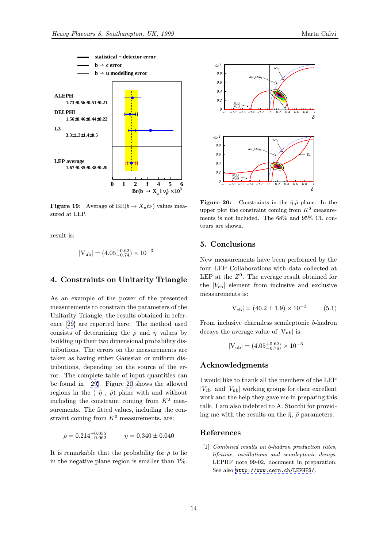<span id="page-13-0"></span>

**Figure 19:** Average of  $BR(b \to X_u \ell \nu)$  values measured at LEP.

result is:

$$
|V_{ub}|=(4.05^{+0.62}_{-0.74})\times 10^{-3}
$$

#### 4. Constraints on Unitarity Triangle

As an example of the power of the presented measurements to constrain the parameters of the Unitarity Triangle, the results obtained in reference [29] are reported here. The method used consists of determining the  $\bar{\rho}$  and  $\bar{\eta}$  values by building up their two dimensional probability distributions. The errors on the measurements are taken [as](#page-14-0) having either Gaussian or uniform distributions, depending on the source of the error. The complete table of input quantities can be found in [29]. Figure 20 shows the allowed regions in the  $(\bar{\eta}, \bar{\rho})$  plane with and without including the constraint coming from  $K^0$  measurements. The fitted values, including the constraint comin[g fr](#page-14-0)om  $K^0$  measurements, are:

$$
\bar{\rho} = 0.214^{+0.055}_{-0.062} \qquad \bar{\eta} = 0.340 \pm 0.040
$$

It is remarkable that the probability for  $\bar{\rho}$  to lie in the negative plane region is smaller than 1%.



**Figure 20:** Constraints in the  $\bar{\eta}, \bar{\rho}$  plane. In the upper plot the constraint coming from  $K^0$  measurements is not included. The 68% and 95% CL contours are shown.

#### 5. Conclusions

New measurements have been performed by the four LEP Collaborations with data collected at LEP at the  $Z^0$ . The average result obtained for the  $|V_{cb}|$  element from inclusive and exclusive measurements is:

$$
|V_{cb}| = (40.2 \pm 1.9) \times 10^{-3} \tag{5.1}
$$

From inclusive charmless semileptonic b-hadron decays the average value of  $|V_{ub}|$  is:

$$
|V_{ub}|=(4.05^{+0.62}_{-0.74})\times 10^{-3}
$$

#### Acknowledgments

I would like to thank all the members of the LEP  $|V_{\text{cb}}|$  and  $|V_{\text{ub}}|$  working groups for their excellent work and the help they gave me in preparing this talk. I am also indebted to A. Stocchi for providing me with the results on the  $\bar{\eta}$ ,  $\bar{\rho}$  parameters.

#### References

[1] Combined results on b-hadron production rates, lifetime, oscillations and semileptonic decays, LEPHF note 99-02, document in preparation. See also http://www.cern.ch/LEPHFS/.